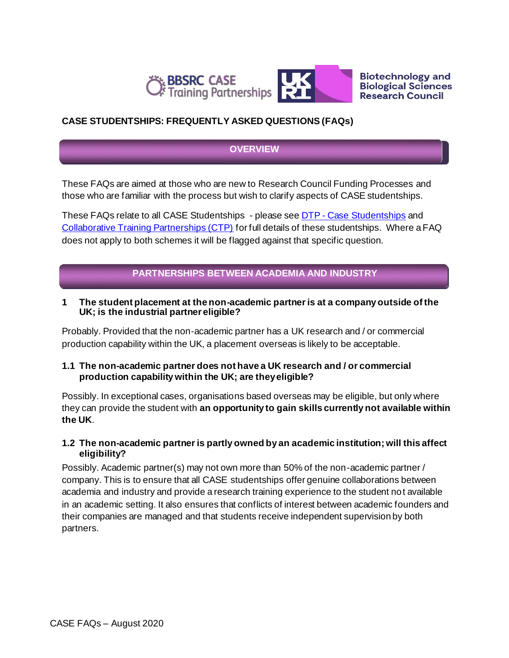



**Biotechnology and Biological Sciences Research Council** 

# **CASE STUDENTSHIPS: FREQUENTLY ASKED QUESTIONS (FAQs)**

## **OVERVIEW**

These FAQs are aimed at those who are new to Research Council Funding Processes and those who are familiar with the process but wish to clarify aspects of CASE studentships.

These FAQs relate to all CASE Studentships - please see DTP - [Case Studentships](https://bbsrc.ukri.org/skills/investing-doctoral-training/case-studentships/) and [Collaborative Training Partnerships \(CTP\)](https://bbsrc.ukri.org/skills/investing-doctoral-training/collaborative-training-partnerships/) for full details of these studentships. Where a FAQ does not apply to both schemes it will be flagged against that specific question.

# **PARTNERSHIPS BETWEEN ACADEMIA AND INDUSTRY**

### **1 The student placement at the non-academic partner is at a company outside of the UK; is the industrial partner eligible?**

Probably. Provided that the non-academic partner has a UK research and / or commercial production capability within the UK, a placement overseas is likely to be acceptable.

## **1.1 The non-academic partner does not have a UK research and / or commercial production capability within the UK; are theyeligible?**

Possibly. In exceptional cases, organisations based overseas may be eligible, but only where they can provide the student with **an opportunity to gain skills currently not available within the UK**.

## **1.2 The non-academic partner is partly owned by an academic institution; will this affect eligibility?**

Possibly. Academic partner(s) may not own more than 50% of the non-academic partner / company. This is to ensure that all CASE studentships offer genuine collaborations between academia and industry and provide a research training experience to the student not available in an academic setting. It also ensures that conflicts of interest between academic founders and their companies are managed and that students receive independent supervision by both partners.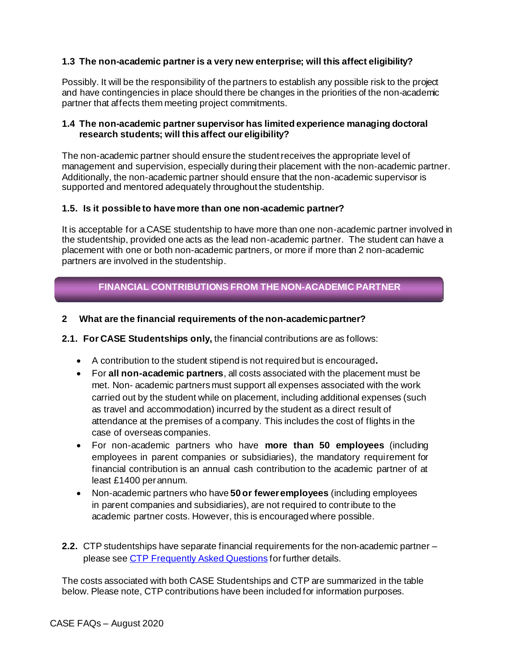## **1.3 The non-academic partner is a very new enterprise; will this affect eligibility?**

Possibly. It will be the responsibility of the partners to establish any possible risk to the project and have contingencies in place should there be changes in the priorities of the non-academic partner that affects them meeting project commitments.

### **1.4 The non-academic partner supervisor has limited experience managing doctoral research students; will this affect our eligibility?**

The non-academic partner should ensure the student receives the appropriate level of management and supervision, especially during their placement with the non-academic partner. Additionally, the non-academic partner should ensure that the non-academic supervisor is supported and mentored adequately throughout the studentship.

### **1.5. Is it possible to have more than one non-academic partner?**

It is acceptable for a CASE studentship to have more than one non-academic partner involved in the studentship, provided one acts as the lead non-academic partner. The student can have a placement with one or both non-academic partners, or more if more than 2 non-academic partners are involved in the studentship.

# **FINANCIAL CONTRIBUTIONS FROM THE NON-ACADEMIC PARTNER**

### **2 What are the financial requirements of the non-academicpartner?**

### **2.1. For CASE Studentships only,** the financial contributions are as follows:

- A contribution to the student stipend is not required but is encouraged**.**
- For **all non-academic partners**, all costs associated with the placement must be met. Non- academic partners must support all expenses associated with the work carried out by the student while on placement, including additional expenses (such as travel and accommodation) incurred by the student as a direct result of attendance at the premises of a company. This includes the cost of flights in the case of overseas companies.
- For non-academic partners who have **more than 50 employees** (including employees in parent companies or subsidiaries), the mandatory requirement for financial contribution is an annual cash contribution to the academic partner of at least £1400 perannum.
- Non-academic partners who have **50 or feweremployees** (including employees in parent companies and subsidiaries), are not required to contribute to the academic partner costs. However, this is encouraged where possible.
- **2.2.** CTP studentships have separate financial requirements for the non-academic partner please see [CTP Frequently Asked Questions](https://bbsrc.ukri.org/documents/ctp-frequently-asked-questions-pdf/) for further details.

The costs associated with both CASE Studentships and CTP are summarized in the table below. Please note, CTP contributions have been included for information purposes.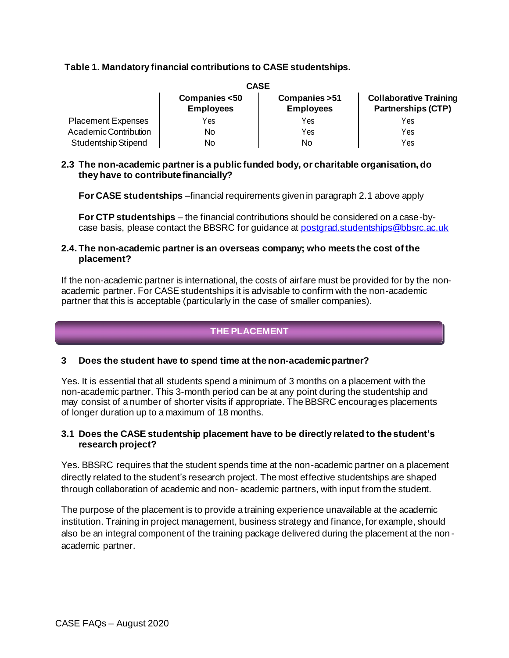## **Table 1. Mandatory financial contributions to CASE studentships.**

| <b>CASE</b>                |                                   |                                    |                                                            |
|----------------------------|-----------------------------------|------------------------------------|------------------------------------------------------------|
|                            | Companies <50<br><b>Employees</b> | Companies > 51<br><b>Employees</b> | <b>Collaborative Training</b><br><b>Partnerships (CTP)</b> |
| <b>Placement Expenses</b>  | Yes                               | Yes                                | Yes                                                        |
| Academic Contribution      | No                                | Yes                                | Yes                                                        |
| <b>Studentship Stipend</b> | No                                | No                                 | Yes                                                        |

### **2.3 The non-academic partner is a public funded body, or charitable organisation, do they have to contributefinancially?**

**For CASE studentships** –financial requirements given in paragraph 2.1 above apply

**For CTP studentships** – the financial contributions should be considered on a case-bycase basis, please contact the BBSRC for guidance at [postgrad.studentships@bbsrc.ac.uk](mailto:postgrad.studentships@bbsrc.ac.uk)

### **2.4. The non-academic partner is an overseas company; who meets the cost of the placement?**

If the non-academic partner is international, the costs of airfare must be provided for by the nonacademic partner. For CASE studentships it is advisable to confirm with the non-academic partner that this is acceptable (particularly in the case of smaller companies).

# **THE PLACEMENT**

# **3 Does the student have to spend time at the non-academicpartner?**

Yes. It is essential that all students spend a minimum of 3 months on a placement with the non-academic partner. This 3-month period can be at any point during the studentship and may consist of a number of shorter visits if appropriate. The BBSRC encourages placements of longer duration up to a maximum of 18 months.

## **3.1 Does the CASE studentship placement have to be directly related to the student's research project?**

Yes. BBSRC requires that the student spends time at the non-academic partner on a placement directly related to the student's research project. The most effective studentships are shaped through collaboration of academic and non- academic partners, with input from the student.

The purpose of the placement is to provide a training experience unavailable at the academic institution. Training in project management, business strategy and finance, for example, should also be an integral component of the training package delivered during the placement at the non academic partner.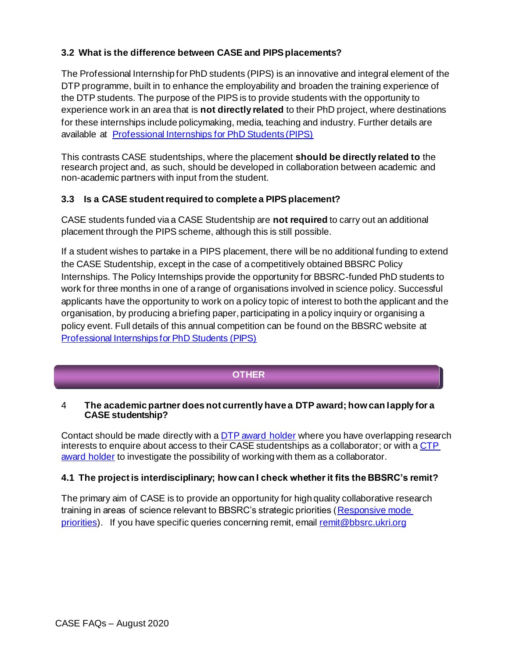# **3.2 What is the difference between CASE and PIPSplacements?**

The Professional Internship for PhD students (PIPS) is an innovative and integral element of the DTP programme, built in to enhance the employability and broaden the training experience of the DTP students. The purpose of the PIPS is to provide students with the opportunity to experience work in an area that is **not directly related** to their PhD project, where destinations for these internships include policymaking, media, teaching and industry. Further details are available at **[Professional Internships for PhD Students \(PIPS\)](https://bbsrc.ukri.org/skills/investing-doctoral-training/pips/)** 

This contrasts CASE studentships, where the placement **should be directly related to** the research project and, as such, should be developed in collaboration between academic and non-academic partners with input from the student.

# **3.3 Is a CASE student required to complete a PIPSplacement?**

CASE students funded via a CASE Studentship are **not required** to carry out an additional placement through the PIPS scheme, although this is still possible.

If a student wishes to partake in a PIPS placement, there will be no additional funding to extend the CASE Studentship, except in the case of a competitively obtained BBSRC Policy Internships. The Policy Internships provide the opportunity for BBSRC-funded PhD students to work for three months in one of a range of organisations involved in science policy. Successful applicants have the opportunity to work on a policy topic of interest to both the applicant and the organisation, by producing a briefing paper, participating in a policy inquiry or organising a policy event. Full details of this annual competition can be found on the BBSRC website at [Professional Internships for PhD Students \(PIPS\)](https://bbsrc.ukri.org/skills/investing-doctoral-training/pips/)

# **OTHER**

## 4 **The academic partner does not currently have a DTP award; how can Iapply for a CASE studentship?**

Contact should be made directly with a [DTP award holder](https://bbsrc.ukri.org/skills/investing-doctoral-training/dtp/) where you have overlapping research interests to enquire about access to their CASE studentships as a collaborator; or with a CTP [award holder](https://bbsrc.ukri.org/skills/investing-doctoral-training/collaborative-training-partnerships/) to investigate the possibility of working with them as a collaborator.

# **4.1 The project is interdisciplinary; how can I check whether it fits the BBSRC's remit?**

The primary aim of CASE is to provide an opportunity for high quality collaborative research training in areas of science relevant to BBSRC's strategic priorities [\(Responsive mode](http://www.bbsrc.ac.uk/funding/priorities/priorities-index.aspx)  [priorities\)](http://www.bbsrc.ac.uk/funding/priorities/priorities-index.aspx). If you have specific queries concerning remit, emai[l remit@bbsrc.ukri.org](mailto:remit@bbsrc.ukri.org)